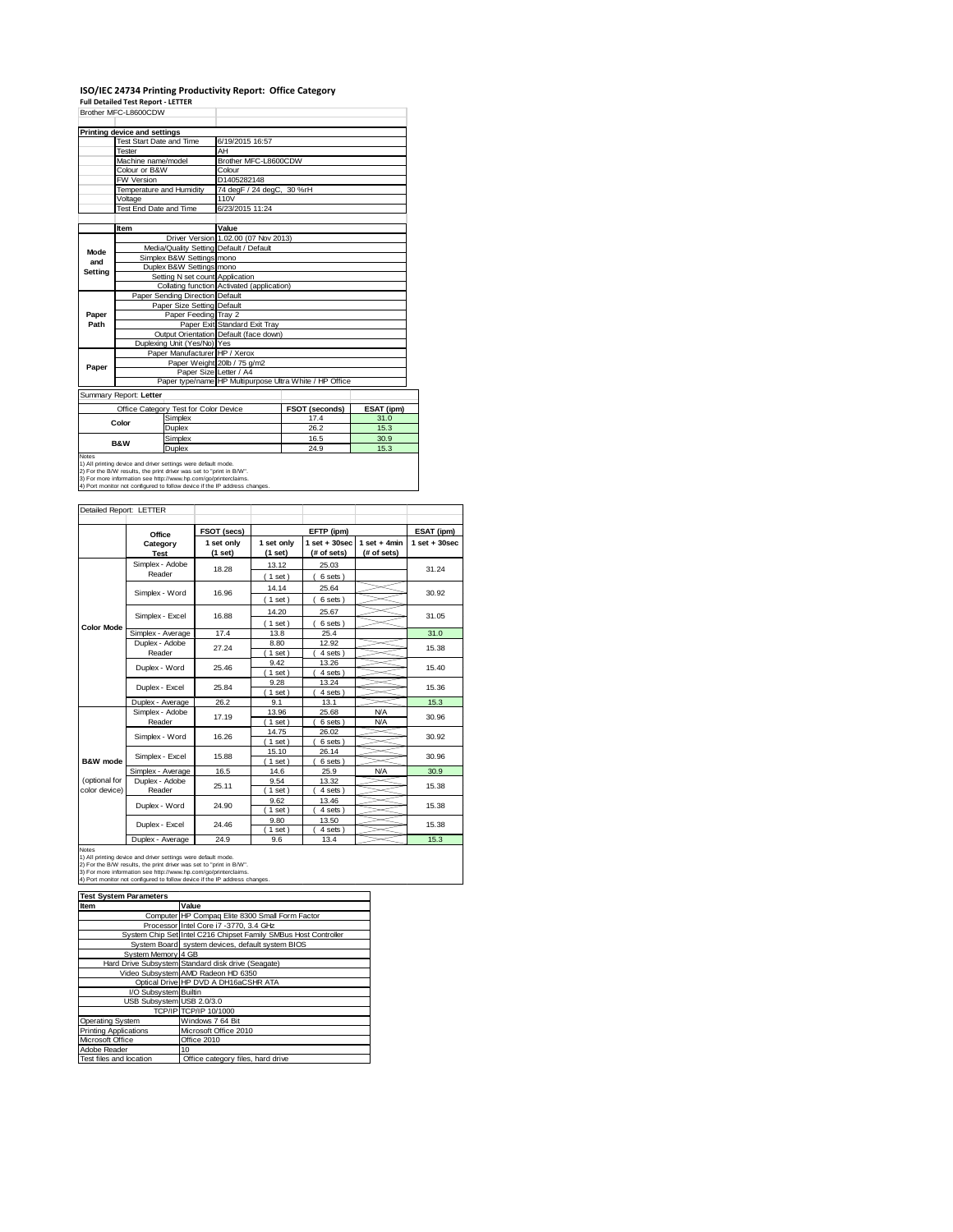# **ISO/IEC 24734 Printing Productivity Report: Office Category Full Detailed Test Report ‐ LETTER** Brother MFC-L8600CDW

|         | Printing device and settings |                                       |                                            |                                                         |            |  |
|---------|------------------------------|---------------------------------------|--------------------------------------------|---------------------------------------------------------|------------|--|
|         | Test Start Date and Time     |                                       | 6/19/2015 16:57                            |                                                         |            |  |
|         | Tester                       |                                       | AH                                         |                                                         |            |  |
|         | Machine name/model           |                                       | Brother MFC-L8600CDW                       |                                                         |            |  |
|         | Colour or B&W                |                                       | Colour                                     |                                                         |            |  |
|         | FW Version                   |                                       | D1405282148                                |                                                         |            |  |
|         | Temperature and Humidity     |                                       | 74 degF / 24 degC, 30 %rH                  |                                                         |            |  |
|         | Voltage                      |                                       | 110V                                       |                                                         |            |  |
|         | Test End Date and Time       |                                       | 6/23/2015 11:24                            |                                                         |            |  |
|         |                              |                                       |                                            |                                                         |            |  |
|         | Item                         |                                       | Value                                      |                                                         |            |  |
|         |                              |                                       | Driver Version 1.02.00 (07 Nov 2013)       |                                                         |            |  |
| Mode    |                              |                                       | Media/Quality Setting Default / Default    |                                                         |            |  |
| and     |                              | Simplex B&W Settings mono             |                                            |                                                         |            |  |
| Setting |                              | Duplex B&W Settings mono              |                                            |                                                         |            |  |
|         |                              | Setting N set count Application       |                                            |                                                         |            |  |
|         |                              |                                       | Collating function Activated (application) |                                                         |            |  |
|         |                              | Paper Sending Direction Default       |                                            |                                                         |            |  |
|         |                              | Paper Size Setting Default            |                                            |                                                         |            |  |
| Paper   |                              | Paper Feeding Tray 2                  |                                            |                                                         |            |  |
| Path    |                              |                                       | Paper Exit Standard Exit Tray              |                                                         |            |  |
|         |                              |                                       | Output Orientation Default (face down)     |                                                         |            |  |
|         |                              | Duplexing Unit (Yes/No) Yes           |                                            |                                                         |            |  |
|         |                              | Paper Manufacturer HP / Xerox         |                                            |                                                         |            |  |
| Paper   |                              |                                       | Paper Weight 20lb / 75 g/m2                |                                                         |            |  |
|         |                              | Paper Size Letter / A4                |                                            |                                                         |            |  |
|         |                              |                                       |                                            | Paper type/name HP Multipurpose Ultra White / HP Office |            |  |
|         | Summary Report: Letter       |                                       |                                            |                                                         |            |  |
|         |                              | Office Category Test for Color Device |                                            | FSOT (seconds)                                          | ESAT (ipm) |  |
|         | Color                        | Simplex                               |                                            | 17.4                                                    | 31.0       |  |
|         |                              | Duplex                                |                                            | 26.2                                                    | 15.3       |  |
|         |                              |                                       |                                            |                                                         |            |  |

T

| Office Category Test for Color Device                                      | <b>FSOT (seconds)</b> | ESAT (I |      |  |  |
|----------------------------------------------------------------------------|-----------------------|---------|------|--|--|
| Color                                                                      | Simplex               | 17.4    | 31.0 |  |  |
|                                                                            | Duplex                | 26.2    | 15.3 |  |  |
| <b>B&amp;W</b>                                                             | Simplex               | 16.5    | 30.9 |  |  |
|                                                                            | Duplex                | 24.9    | 15.3 |  |  |
| Notes                                                                      |                       |         |      |  |  |
| 1) All printing device and driver settings were default mode.              |                       |         |      |  |  |
| 2) For the B/W results, the print driver was set to "print in B/W".        |                       |         |      |  |  |
| 3) For more information see http://www.hp.com/go/printerclaims.            |                       |         |      |  |  |
| 4) Port monitor not configured to follow device if the IP address changes. |                       |         |      |  |  |

| Detailed Report: LETTER        |                           |                       |                       |                                  |                               |                   |
|--------------------------------|---------------------------|-----------------------|-----------------------|----------------------------------|-------------------------------|-------------------|
|                                | Office                    | FSOT (secs)           |                       | EFTP (ipm)                       |                               | ESAT (ipm)        |
|                                | Category<br><b>Test</b>   | 1 set only<br>(1 set) | 1 set only<br>(1 set) | $1$ set $+30$ sec<br>(# of sets) | $1$ set + 4min<br>(# of sets) | $1$ set $+30$ sec |
|                                | Simplex - Adobe<br>Reader | 18.28                 | 13.12<br>(1 set)      | 25.03<br>6 sets)                 |                               | 31.24             |
|                                | Simplex - Word            | 16.96                 | 14.14<br>$1$ set)     | 25.64<br>6 sets)                 |                               | 30.92             |
|                                | Simplex - Excel           | 16.88                 | 14.20<br>$1$ set)     | 25.67<br>6 sets)                 |                               | 31.05             |
| <b>Color Mode</b>              | Simplex - Average         | 17.4                  | 13.8                  | 25.4                             |                               | 31.0              |
|                                | Duplex - Adobe<br>Reader  | 27.24                 | 8.80<br>$1$ set)      | 12.92<br>4 sets)                 |                               | 15.38             |
|                                | Duplex - Word             | 25.46                 | 9.42<br>$1$ set)      | 13.26<br>4 sets)                 |                               | 15.40             |
|                                | Duplex - Excel            | 25.84                 | 9.28<br>$1$ set)      | 13.24<br>4 sets)                 |                               | 15.36             |
|                                | Duplex - Average          | 26.2                  | 9.1                   | 13.1                             |                               | 15.3              |
|                                | Simplex - Adobe<br>Reader | 17.19                 | 13.96<br>1 set        | 25.68<br>6 sets)                 | <b>N/A</b><br><b>N/A</b>      | 30.96             |
|                                | Simplex - Word            | 16.26                 | 14.75<br>$1$ set)     | 26.02<br>6 sets)                 |                               | 30.92             |
| B&W mode                       | Simplex - Excel           | 15.88                 | 15.10<br>1 set        | 26.14<br>6 sets)                 |                               | 30.96             |
|                                | Simplex - Average         | 16.5                  | 14.6                  | 25.9                             | <b>N/A</b>                    | 30.9              |
| (optional for<br>color device) | Duplex - Adobe<br>Reader  | 25.11                 | 9.54<br>$1$ set)      | 13.32<br>4 sets)                 |                               | 15.38             |
|                                | Duplex - Word             | 24.90                 | 9.62<br>$1$ set)      | 13.46<br>4 sets)                 |                               | 15.38             |
|                                | Duplex - Excel            | 24.46                 | 9.80<br>1 set         | 13.50<br>4 sets)                 |                               | 15.38             |
|                                | Duplex - Average          | 24.9                  | 9.6                   | 13.4                             |                               | 15.3              |

Notes<br>1) All printing device and driver settings were default mode.<br>2) For the B/W results, the print driver was set to "print in B/W".<br>3) For more information see http://www.hp.com/go/printerclaims.<br>4) Port monitor not co

#### **Iffer System Parameters**<br>Item **Value**

| Item                         | Value                                                           |
|------------------------------|-----------------------------------------------------------------|
|                              | Computer HP Compag Elite 8300 Small Form Factor                 |
|                              | Processor Intel Core i7 -3770, 3.4 GHz                          |
|                              | System Chip Set Intel C216 Chipset Family SMBus Host Controller |
|                              | System Board system devices, default system BIOS                |
| System Memory 4 GB           |                                                                 |
|                              | Hard Drive Subsystem Standard disk drive (Seagate)              |
|                              | Video Subsystem AMD Radeon HD 6350                              |
|                              | Optical Drive HP DVD A DH16aCSHR ATA                            |
| I/O Subsystem Builtin        |                                                                 |
| USB Subsystem USB 2.0/3.0    |                                                                 |
|                              | TCP/IP TCP/IP 10/1000                                           |
| <b>Operating System</b>      | Windows 7 64 Bit                                                |
| <b>Printing Applications</b> | Microsoft Office 2010                                           |
| Microsoft Office             | Office 2010                                                     |
| Adobe Reader                 | 10                                                              |
| Test files and location      | Office category files, hard drive                               |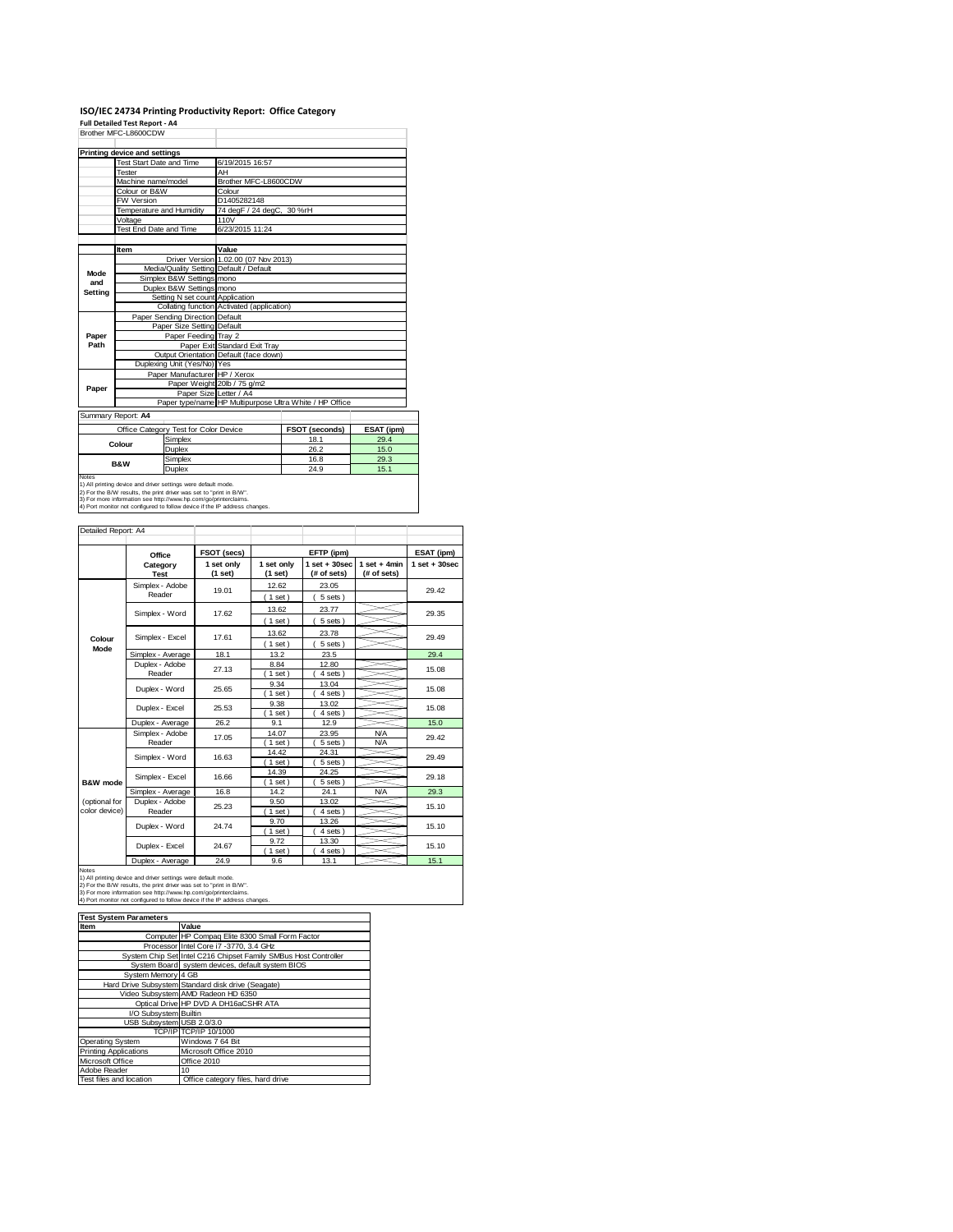# **ISO/IEC 24734 Printing Productivity Report: Office Category Full Detailed Test Report ‐ A4** Brother MFC-L8600CDW

|                                       | Printing device and settings    |                               |                                            |                                                         |      |
|---------------------------------------|---------------------------------|-------------------------------|--------------------------------------------|---------------------------------------------------------|------|
|                                       | Test Start Date and Time        |                               | 6/19/2015 16:57                            |                                                         |      |
|                                       | <b>Tester</b>                   |                               | AH                                         |                                                         |      |
| Machine name/model                    |                                 | Brother MFC-L8600CDW          |                                            |                                                         |      |
|                                       | Colour or B&W                   |                               | Colour                                     |                                                         |      |
|                                       | FW Version                      |                               | D1405282148                                |                                                         |      |
|                                       | Temperature and Humidity        |                               | 74 degF / 24 degC, 30 %rH                  |                                                         |      |
|                                       | Voltage                         |                               | 110V                                       |                                                         |      |
|                                       | Test End Date and Time          |                               | 6/23/2015 11:24                            |                                                         |      |
|                                       |                                 |                               |                                            |                                                         |      |
|                                       | Item                            |                               | Value                                      |                                                         |      |
|                                       |                                 |                               | Driver Version 1.02.00 (07 Nov 2013)       |                                                         |      |
|                                       |                                 |                               | Media/Quality Setting Default / Default    |                                                         |      |
| Mode<br>and                           |                                 | Simplex B&W Settings mono     |                                            |                                                         |      |
| <b>Setting</b>                        | Duplex B&W Settings mono        |                               |                                            |                                                         |      |
|                                       | Setting N set count Application |                               |                                            |                                                         |      |
|                                       |                                 |                               | Collating function Activated (application) |                                                         |      |
|                                       | Paper Sending Direction Default |                               |                                            |                                                         |      |
|                                       | Paper Size Setting Default      |                               |                                            |                                                         |      |
| Paper                                 | Paper Feeding Tray 2            |                               |                                            |                                                         |      |
| Path                                  |                                 |                               | Paper Exit Standard Exit Tray              |                                                         |      |
|                                       |                                 |                               | Output Orientation Default (face down)     |                                                         |      |
|                                       |                                 | Duplexing Unit (Yes/No) Yes   |                                            |                                                         |      |
|                                       |                                 | Paper Manufacturer HP / Xerox |                                            |                                                         |      |
| Paper                                 |                                 |                               | Paper Weight 20lb / 75 g/m2                |                                                         |      |
|                                       |                                 |                               | Paper Size Letter / A4                     |                                                         |      |
|                                       |                                 |                               |                                            | Paper type/name HP Multipurpose Ultra White / HP Office |      |
| Summary Report: A4                    |                                 |                               |                                            |                                                         |      |
| Office Category Test for Color Device |                                 |                               | <b>FSOT (seconds)</b>                      | <b>ESAT (ipm)</b>                                       |      |
| Simplex                               |                                 |                               | 18.1                                       | 29.4                                                    |      |
|                                       | Colour                          | Duplex                        |                                            | 26.2                                                    | 15.0 |
|                                       |                                 | Simplex                       |                                            | 16.8                                                    | 29.3 |
|                                       | <b>B&amp;W</b>                  | Duplex                        |                                            | 24.9                                                    | 15.1 |
| <b>Notes</b>                          |                                 |                               |                                            |                                                         |      |

Notes<br>1) All printing device and driver settings were default mode.<br>2) For the B/W results, the print driver was set to "print in B/W".<br>3) For more information see http://www.hp.com/go/printerclaims.<br>4) Port monitor not co

| Detailed Report: A4 |                                     |                       |                           |                                 |                                |                   |
|---------------------|-------------------------------------|-----------------------|---------------------------|---------------------------------|--------------------------------|-------------------|
|                     | Office                              | FSOT (secs)           |                           | EFTP (ipm)                      |                                | ESAT (ipm)        |
|                     | Category<br><b>Test</b>             | 1 set only<br>(1 set) | 1 set only<br>(1 set)     | $1$ set + 30 sec<br>(# of sets) | $1 set + 4 min$<br>(# of sets) | $1$ set $+30$ sec |
|                     | Simplex - Adobe<br>Reader           | 19.01                 | 12.62                     | 23.05                           |                                | 29.42             |
|                     |                                     |                       | $1$ set)                  | 5 sets)                         |                                |                   |
|                     | Simplex - Word                      | 17.62                 | 13.62                     | 23.77                           |                                | 29.35             |
|                     |                                     |                       | $1$ set)<br>13.62         | 5 sets)<br>23.78                |                                |                   |
| Colour              | Simplex - Excel                     | 17.61                 | $1$ set)                  | 5 sets)                         |                                | 29.49             |
| Mode                | Simplex - Average                   | 18.1                  | 13.2                      | 23.5                            |                                | 29.4              |
|                     | Duplex - Adobe                      | 27.13                 | 8.84                      | 12.80                           |                                | 15.08             |
|                     | Reader                              |                       | $1$ set $)$               | 4 sets                          |                                |                   |
|                     | Duplex - Word                       | 25.65                 | 9.34<br>$1$ set)          | 13.04<br>4 sets                 |                                | 15.08             |
|                     | Duplex - Excel                      | 25.53                 | 9.38                      | 13.02                           |                                | 15.08             |
|                     |                                     |                       | $1$ set)                  | 4 sets                          |                                |                   |
|                     | Duplex - Average                    | 26.2                  | 9.1                       | 12.9                            |                                | 15.0              |
|                     | Simplex - Adobe                     | 17.05                 | 14.07                     | 23.95                           | N/A                            | 29.42             |
|                     | Reader                              |                       | $1$ set)                  | 5 sets)                         | <b>N/A</b>                     |                   |
|                     | Simplex - Word                      | 16.63                 | 14.42                     | 24.31                           |                                | 29.49             |
|                     |                                     |                       | 1 set                     | 5 sets                          |                                |                   |
| B&W mode            | Simplex - Excel                     | 16.66                 | 14.39<br>$1$ set)         | 24.25<br>5 sets)                |                                | 29.18             |
|                     | Simplex - Average                   | 16.8                  | 14.2                      | 24.1                            | <b>N/A</b>                     | 29.3              |
| (optional for       | Duplex - Adobe                      |                       | 9.50                      | 13.02                           |                                |                   |
| color device)       | Reader                              | 25.23                 | $1$ set)                  | 4 sets                          |                                | 15.10             |
|                     | Duplex - Word                       | 24.74                 | 9.70                      | 13.26                           |                                | 15.10             |
|                     |                                     |                       | $1$ set)                  | 4 sets )                        |                                |                   |
|                     | Duplex - Excel                      | 24.67                 | 9.72                      | 13.30                           |                                | 15.10             |
|                     | $\sum_{i=1}^{n}$<br>$A + B + C + C$ | $\sim$ $\sim$         | $1$ set)<br>$\sim$ $\sim$ | 4 sets)<br>$\overline{a}$       |                                | 45.4              |

Notes<br>
Notes<br>
1) All primaring development and driver settings were detailed mode.<br>
2) For the BAW results, the print driver was set to "print in BAW".<br>
3) For the BAW results, the print driver was set to "print in BAW".<br>

| <b>Test System Parameters</b> |                                                                 |  |  |
|-------------------------------|-----------------------------------------------------------------|--|--|
| Item                          | Value                                                           |  |  |
|                               | Computer HP Compag Elite 8300 Small Form Factor                 |  |  |
|                               | Processor Intel Core i7 -3770, 3.4 GHz                          |  |  |
|                               | System Chip Set Intel C216 Chipset Family SMBus Host Controller |  |  |
|                               | System Board system devices, default system BIOS                |  |  |
| System Memory 4 GB            |                                                                 |  |  |
|                               | Hard Drive Subsystem Standard disk drive (Seagate)              |  |  |
|                               | Video Subsystem AMD Radeon HD 6350                              |  |  |
|                               | Optical Drive HP DVD A DH16aCSHR ATA                            |  |  |
| I/O Subsystem Builtin         |                                                                 |  |  |
| USB Subsystem USB 2.0/3.0     |                                                                 |  |  |
|                               | TCP/IP TCP/IP 10/1000                                           |  |  |
| <b>Operating System</b>       | Windows 7 64 Bit                                                |  |  |
| <b>Printing Applications</b>  | Microsoft Office 2010                                           |  |  |
| Microsoft Office              | Office 2010                                                     |  |  |
| Adobe Reader                  | 10                                                              |  |  |
| Test files and location       | Office category files, hard drive                               |  |  |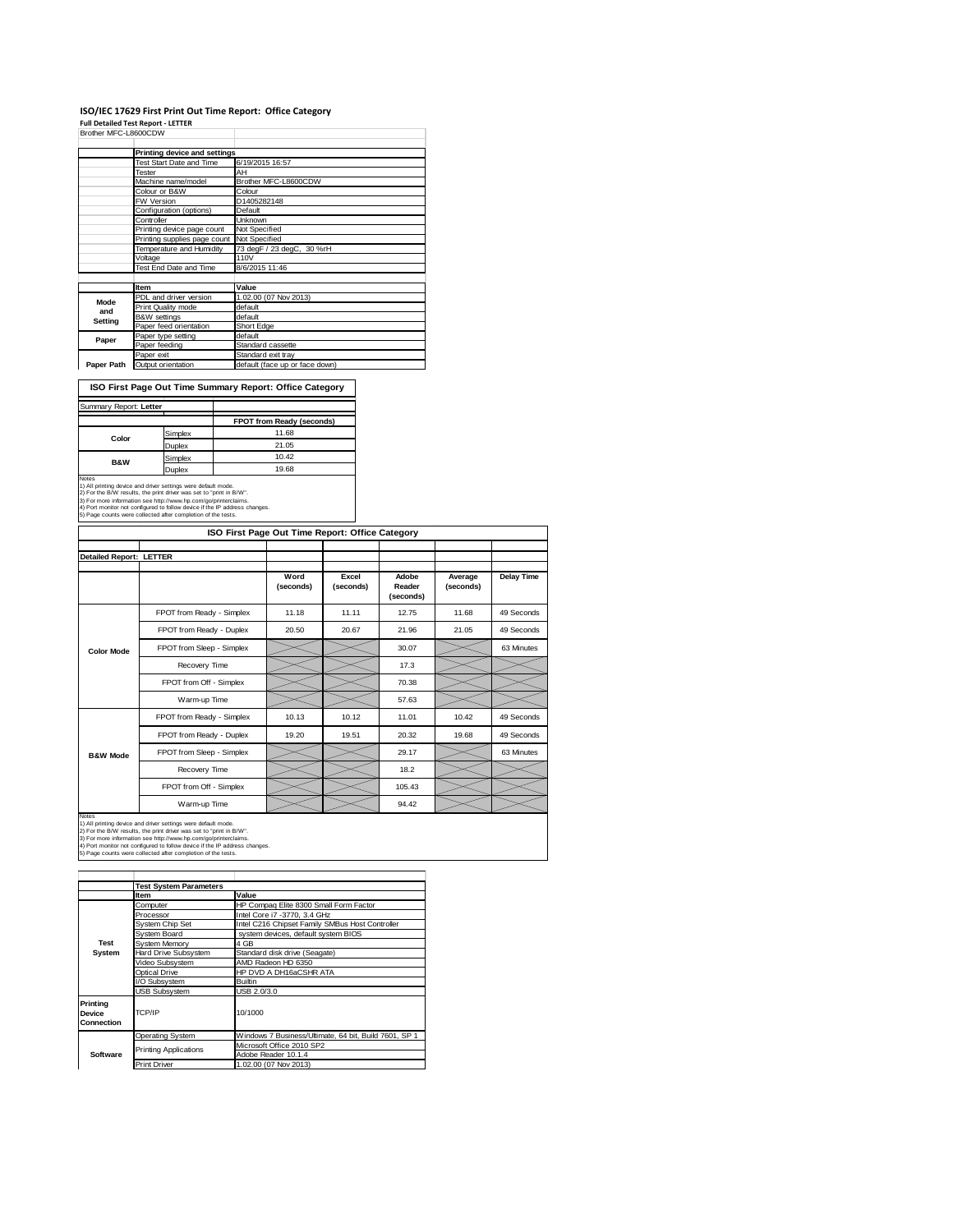# ISO/IEC 17629 First Print Out Time Report: Office Category<br>Full Detailed Test Report - LETTER<br>Brother MFC-L8600CDW

|             | Printing device and settings |                                |
|-------------|------------------------------|--------------------------------|
|             | Test Start Date and Time     | 6/19/2015 16:57                |
|             | Tester                       | AH                             |
|             | Machine name/model           | Brother MFC-L8600CDW           |
|             | Colour or B&W                | Colour                         |
|             | <b>FW Version</b>            | D1405282148                    |
|             | Configuration (options)      | Default                        |
|             | Controller                   | Unknown                        |
|             | Printing device page count   | Not Specified                  |
|             | Printing supplies page count | Not Specified                  |
|             | Temperature and Humidity     | 73 degF / 23 degC, 30 %rH      |
|             | Voltage                      | <b>110V</b>                    |
|             | Test End Date and Time       | 8/6/2015 11:46                 |
|             |                              |                                |
|             | Item                         | Value                          |
| <b>Mode</b> | PDL and driver version       | 1.02.00 (07 Nov 2013)          |
| and         | Print Quality mode           | default                        |
| Setting     | <b>B&amp;W</b> settings      | default                        |
|             | Paper feed orientation       | Short Edge                     |
| Paper       | Paper type setting           | default                        |
|             | Paper feeding                | Standard cassette              |
|             | Paper exit                   | Standard exit tray             |
| Paper Path  | Output orientation           | default (face up or face down) |

**ISO First Page Out Time Summary Report: Office Category**

| Summary Report: Letter                                                                                                                                                                                                                                                                                |         |                           |  |
|-------------------------------------------------------------------------------------------------------------------------------------------------------------------------------------------------------------------------------------------------------------------------------------------------------|---------|---------------------------|--|
|                                                                                                                                                                                                                                                                                                       |         | FPOT from Ready (seconds) |  |
| Color                                                                                                                                                                                                                                                                                                 | Simplex | 11.68                     |  |
|                                                                                                                                                                                                                                                                                                       | Duplex  | 21.05                     |  |
| <b>B&amp;W</b>                                                                                                                                                                                                                                                                                        | Simplex | 10.42                     |  |
|                                                                                                                                                                                                                                                                                                       | Duplex  | 19.68                     |  |
| <b>Notes</b><br>1) All printing device and driver settings were default mode.<br>2) For the B/W results, the print driver was set to "print in B/W".<br>3) For more information see http://www.hp.com/go/printerclaims.<br>4) Port monitor not configured to follow device if the IP address changes. |         |                           |  |
| 5) Page counts were collected after completion of the tests.                                                                                                                                                                                                                                          |         |                           |  |

|                                | ISO First Page Out Time Report: Office Category |                   |                    |                              |                      |            |
|--------------------------------|-------------------------------------------------|-------------------|--------------------|------------------------------|----------------------|------------|
| <b>Detailed Report: LETTER</b> |                                                 |                   |                    |                              |                      |            |
|                                |                                                 | Word<br>(seconds) | Excel<br>(seconds) | Adobe<br>Reader<br>(seconds) | Average<br>(seconds) | Delay Time |
|                                | FPOT from Ready - Simplex                       | 11.18             | 11.11              | 12.75                        | 11.68                | 49 Seconds |
|                                | FPOT from Ready - Duplex                        | 20.50             | 20.67              | 21.96                        | 21.05                | 49 Seconds |
| <b>Color Mode</b>              | FPOT from Sleep - Simplex                       |                   |                    | 30.07                        |                      | 63 Minutes |
|                                | Recovery Time                                   |                   |                    | 17.3                         |                      |            |
|                                | FPOT from Off - Simplex                         |                   |                    | 70.38                        |                      |            |
|                                | Warm-up Time                                    |                   |                    | 57.63                        |                      |            |
|                                | FPOT from Ready - Simplex                       | 10.13             | 10.12              | 11.01                        | 10.42                | 49 Seconds |
|                                | FPOT from Ready - Duplex                        | 19.20             | 19.51              | 20.32                        | 19.68                | 49 Seconds |
| <b>B&amp;W Mode</b>            | FPOT from Sleep - Simplex                       |                   |                    | 29.17                        |                      | 63 Minutes |
|                                | Recovery Time                                   |                   |                    | 18.2                         |                      |            |
|                                | FPOT from Off - Simplex                         |                   |                    | 105.43                       |                      |            |
|                                | Warm-up Time                                    |                   |                    | 94.42                        |                      |            |

Notes<br>1) All printing device and driver settings were default mode.<br>2) For the B/W results, the print driver was set to "print in B/W".<br>3) For more information see http://www.hp.com/go/printerclaims.<br>4) Port monitor not co

|            | <b>Test System Parameters</b> |                                                       |  |  |
|------------|-------------------------------|-------------------------------------------------------|--|--|
|            | <b>Item</b>                   | Value                                                 |  |  |
|            | Computer                      | HP Compaq Elite 8300 Small Form Factor                |  |  |
|            | Processor                     | Intel Core i7 -3770, 3.4 GHz                          |  |  |
|            | System Chip Set               | Intel C216 Chipset Family SMBus Host Controller       |  |  |
|            | System Board                  | system devices, default system BIOS                   |  |  |
| Test       | System Memory                 | 4 GB                                                  |  |  |
| System     | Hard Drive Subsystem          | Standard disk drive (Seagate)                         |  |  |
|            | Video Subsystem               | AMD Radeon HD 6350                                    |  |  |
|            | Optical Drive                 | HP DVD A DH16aCSHR ATA                                |  |  |
|            | I/O Subsystem                 | <b>Builtin</b>                                        |  |  |
|            | <b>USB Subsystem</b>          | USB 2.0/3.0                                           |  |  |
| Printina   |                               |                                                       |  |  |
| Device     | TCP/IP                        | 10/1000                                               |  |  |
| Connection |                               |                                                       |  |  |
|            | <b>Operating System</b>       | Windows 7 Business/Ultimate, 64 bit, Build 7601, SP 1 |  |  |
|            |                               | Microsoft Office 2010 SP2                             |  |  |
| Software   | <b>Printing Applications</b>  | Adobe Reader 10.1.4                                   |  |  |
|            | <b>Print Driver</b>           | 1.02.00 (07 Nov 2013)                                 |  |  |
|            |                               |                                                       |  |  |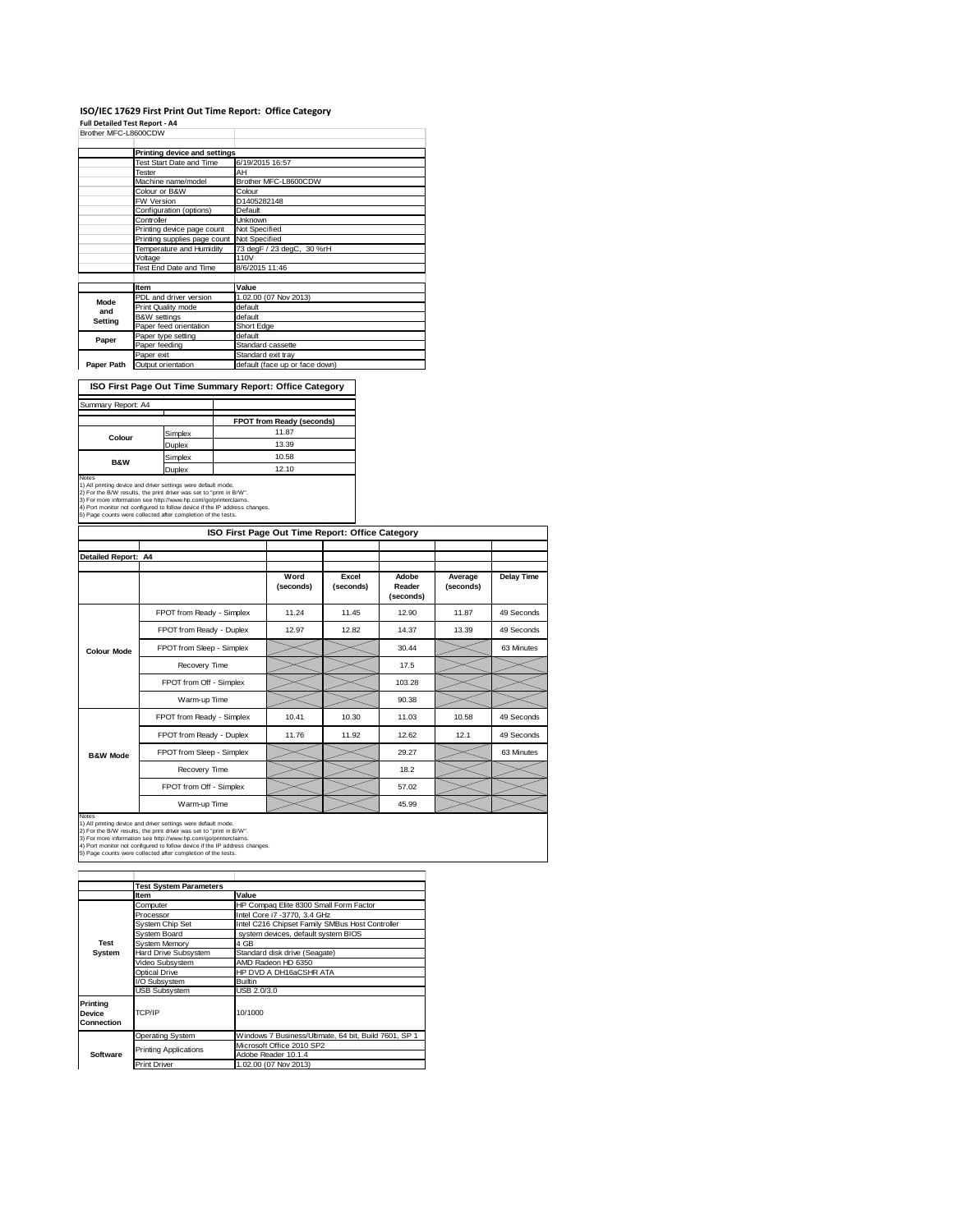## **ISO/IEC 17629 First Print Out Time Report: Office Category**

т

**Full Detailed Test Report ‐ A4** Brother MFC-L8600CDW

|             | Printing device and settings |                                |
|-------------|------------------------------|--------------------------------|
|             | Test Start Date and Time     | 6/19/2015 16:57                |
|             | Tester                       | AH                             |
|             | Machine name/model           | Brother MFC-L8600CDW           |
|             | Colour or B&W                | Colour                         |
|             | <b>FW Version</b>            | D1405282148                    |
|             | Configuration (options)      | Default                        |
|             | Controller                   | <b>Unknown</b>                 |
|             | Printing device page count   | Not Specified                  |
|             | Printing supplies page count | Not Specified                  |
|             | Temperature and Humidity     | 73 degF / 23 degC, 30 %rH      |
|             | Voltage                      | <b>110V</b>                    |
|             | Test End Date and Time       | 8/6/2015 11:46                 |
|             |                              |                                |
|             | Item                         | Value                          |
| <b>Mode</b> | PDL and driver version       | 1.02.00 (07 Nov 2013)          |
| and         | Print Quality mode           | default                        |
| Setting     | <b>B&amp;W</b> settings      | default                        |
|             | Paper feed orientation       | Short Edge                     |
| Paper       | Paper type setting           | default                        |
|             | Paper feeding                | Standard cassette              |
|             | Paper exit                   | Standard exit tray             |
| Paper Path  | Output orientation           | default (face up or face down) |

**ISO First Page Out Time Summary Report: Office Category**

| Summary Report: A4                                                                                                                   |         |                                  |
|--------------------------------------------------------------------------------------------------------------------------------------|---------|----------------------------------|
|                                                                                                                                      |         | <b>FPOT from Ready (seconds)</b> |
| Simplex                                                                                                                              |         | 11.87                            |
| Colour                                                                                                                               | Duplex  | 13.39                            |
| <b>B&amp;W</b>                                                                                                                       | Simplex | 10.58                            |
|                                                                                                                                      | Duplex  | 12.10                            |
| <b>Notes</b>                                                                                                                         |         |                                  |
| 1) All printing device and driver settings were default mode.<br>2) For the B/W results, the print driver was set to "print in B/W". |         |                                  |
| 3) For more information see http://www.hp.com/go/printerclaims.                                                                      |         |                                  |
| 4) Port monitor not configured to follow device if the IP address changes.                                                           |         |                                  |
| 5) Page counts were collected after completion of the tests.                                                                         |         |                                  |

| ISO First Page Out Time Report: Office Category |                           |                   |                    |                              |                      |            |  |  |
|-------------------------------------------------|---------------------------|-------------------|--------------------|------------------------------|----------------------|------------|--|--|
| Detailed Report: A4                             |                           |                   |                    |                              |                      |            |  |  |
|                                                 |                           |                   |                    |                              |                      |            |  |  |
|                                                 |                           | Word<br>(seconds) | Excel<br>(seconds) | Adobe<br>Reader<br>(seconds) | Average<br>(seconds) | Delay Time |  |  |
|                                                 | FPOT from Ready - Simplex | 11.24             | 11.45              | 12.90                        | 11.87                | 49 Seconds |  |  |
|                                                 | FPOT from Ready - Duplex  | 12.97             | 12.82              | 14.37                        | 13.39                | 49 Seconds |  |  |
| <b>Colour Mode</b>                              | FPOT from Sleep - Simplex |                   |                    | 30.44                        |                      | 63 Minutes |  |  |
|                                                 | Recovery Time             |                   |                    | 17.5                         |                      |            |  |  |
|                                                 | FPOT from Off - Simplex   |                   |                    | 103.28                       |                      |            |  |  |
|                                                 | Warm-up Time              |                   |                    | 90.38                        |                      |            |  |  |
|                                                 | FPOT from Ready - Simplex | 10.41             | 10.30              | 11.03                        | 10.58                | 49 Seconds |  |  |
|                                                 | FPOT from Ready - Duplex  | 11.76             | 11.92              | 12.62                        | 12.1                 | 49 Seconds |  |  |
| <b>B&amp;W Mode</b>                             | FPOT from Sleep - Simplex |                   |                    | 29.27                        |                      | 63 Minutes |  |  |
|                                                 | Recovery Time             |                   |                    | 18.2                         |                      |            |  |  |
|                                                 | FPOT from Off - Simplex   |                   |                    | 57.02                        |                      |            |  |  |
|                                                 | Warm-up Time              |                   |                    | 45.99                        |                      |            |  |  |

Notes<br>1) All printing device and driver settings were default mode.<br>2) For the B/W results, the print driver was set to "print in B/W".<br>3) For more information see http://www.hp.com/go/printerclaims.<br>4) Port monitor not co

|                                  | <b>Test System Parameters</b> |                                                       |  |  |  |  |
|----------------------------------|-------------------------------|-------------------------------------------------------|--|--|--|--|
|                                  | <b>Item</b>                   | Value                                                 |  |  |  |  |
|                                  | Computer                      | HP Compaq Elite 8300 Small Form Factor                |  |  |  |  |
|                                  | Processor                     | Intel Core i7 -3770, 3.4 GHz                          |  |  |  |  |
|                                  | System Chip Set               | Intel C216 Chipset Family SMBus Host Controller       |  |  |  |  |
|                                  | System Board                  | system devices, default system BIOS                   |  |  |  |  |
| Test                             | System Memory                 | 4 GB                                                  |  |  |  |  |
| System                           | <b>Hard Drive Subsystem</b>   | Standard disk drive (Seagate)                         |  |  |  |  |
|                                  | Video Subsystem               | AMD Radeon HD 6350                                    |  |  |  |  |
|                                  | Optical Drive                 | HP DVD A DH16aCSHR ATA                                |  |  |  |  |
|                                  | I/O Subsystem                 | <b>Builtin</b>                                        |  |  |  |  |
|                                  | <b>USB Subsystem</b>          | USB 2.0/3.0                                           |  |  |  |  |
| Printina<br>Device<br>Connection | TCP/IP                        | 10/1000                                               |  |  |  |  |
|                                  | <b>Operating System</b>       | Windows 7 Business/Ultimate, 64 bit, Build 7601, SP 1 |  |  |  |  |
|                                  |                               | Microsoft Office 2010 SP2                             |  |  |  |  |
| Software                         | <b>Printing Applications</b>  | Adobe Reader 10.1.4                                   |  |  |  |  |
|                                  | <b>Print Driver</b>           | 1.02.00 (07 Nov 2013)                                 |  |  |  |  |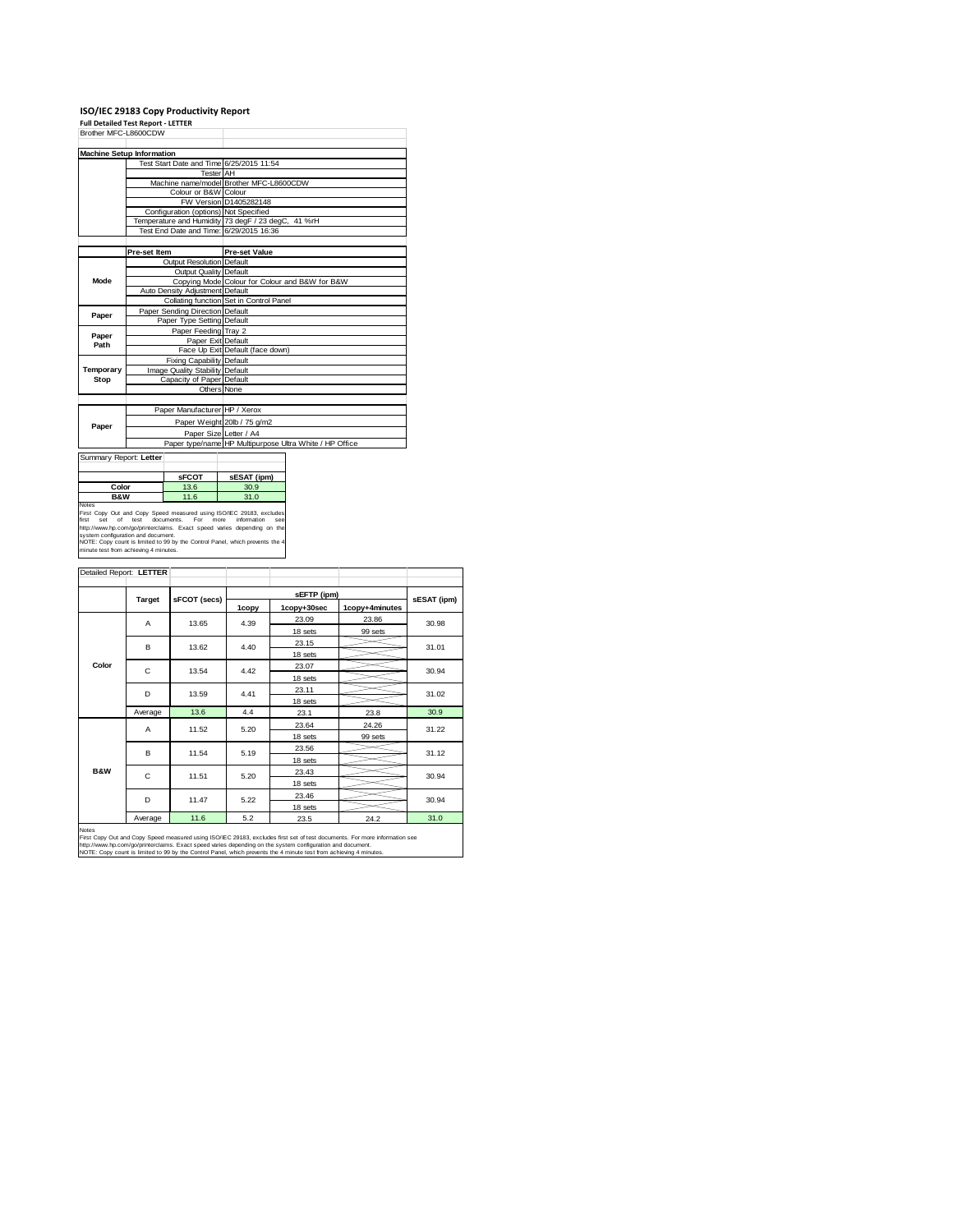### **ISO/IEC 29183 Copy Productivity Report Full Detailed Test Report ‐ LETTER**

| Brother MFC-L8600CDW |                                          |                                                         |  |  |
|----------------------|------------------------------------------|---------------------------------------------------------|--|--|
|                      | <b>Machine Setup Information</b>         |                                                         |  |  |
|                      | Test Start Date and Time 6/25/2015 11:54 |                                                         |  |  |
|                      | <b>Tester</b> AH                         |                                                         |  |  |
|                      |                                          | Machine name/model Brother MFC-L8600CDW                 |  |  |
|                      | Colour or B&W Colour                     |                                                         |  |  |
|                      |                                          | FW Version D1405282148                                  |  |  |
|                      | Configuration (options) Not Specified    |                                                         |  |  |
|                      |                                          | Temperature and Humidity 73 degF / 23 degC, 41 %rH      |  |  |
|                      | Test End Date and Time: 6/29/2015 16:36  |                                                         |  |  |
|                      |                                          |                                                         |  |  |
|                      | Pre-set Item                             | <b>Pre-set Value</b>                                    |  |  |
|                      | <b>Output Resolution Default</b>         |                                                         |  |  |
|                      | <b>Output Quality Default</b>            |                                                         |  |  |
| <b>Mode</b>          |                                          | Copying Mode Colour for Colour and B&W for B&W          |  |  |
|                      | Auto Density Adjustment Default          |                                                         |  |  |
|                      |                                          | Collating function Set in Control Panel                 |  |  |
| Paper                | Paper Sending Direction Default          |                                                         |  |  |
|                      | Paper Type Setting Default               |                                                         |  |  |
| Paper                | Paper Feeding Tray 2                     |                                                         |  |  |
| Path                 | Paper Exit Default                       |                                                         |  |  |
|                      |                                          | Face Up Exit Default (face down)                        |  |  |
|                      | <b>Fixing Capability Default</b>         |                                                         |  |  |
| Temporary            | Image Quality Stability Default          |                                                         |  |  |
| Stop                 | Capacity of Paper Default                |                                                         |  |  |
|                      | Others None                              |                                                         |  |  |
|                      |                                          |                                                         |  |  |
|                      | Paper Manufacturer HP / Xerox            |                                                         |  |  |
| Paper                |                                          | Paper Weight 20lb / 75 g/m2                             |  |  |
|                      | Paper Size Letter / A4                   |                                                         |  |  |
|                      |                                          | Paper type/name HP Multipurpose Ultra White / HP Office |  |  |

—<br>— Summary Report: **Letter sFCOT sESAT (ipm)**<br>13.6 30.9<br>11.6 31.0 **Color 13.6**<br>**B&W 11.6 BOAW**<br>Works Compare and Copy Speed measured using ISO/IEC 29133, excludes<br>first copy Out and Copy Speed measured using ISO/IEC 29133, excludes<br>first set of test documents. For more information see<br>system configuration and

|                | Detailed Report: LETTER |              |       |             |                |             |  |
|----------------|-------------------------|--------------|-------|-------------|----------------|-------------|--|
|                |                         |              |       |             |                |             |  |
|                | <b>Target</b>           |              |       | sEFTP (ipm) |                | sESAT (ipm) |  |
|                |                         | sFCOT (secs) | 1copy | 1copy+30sec | 1copy+4minutes |             |  |
|                | A                       | 13.65        | 4.39  | 23.09       | 23.86          | 30.98       |  |
|                |                         |              |       | 18 sets     | 99 sets        |             |  |
|                | B                       | 13.62        | 4.40  | 23.15       |                | 31.01       |  |
|                |                         |              |       | 18 sets     |                |             |  |
| Color          | C                       | 13.54        | 4.42  | 23.07       |                | 30.94       |  |
|                |                         |              |       | 18 sets     |                |             |  |
|                | D                       | 13.59        | 4.41  | 23.11       |                | 31.02       |  |
|                |                         |              |       | 18 sets     |                |             |  |
|                | Average                 | 13.6         | 4.4   | 23.1        | 23.8           | 30.9        |  |
|                | A                       | 11.52        | 5.20  | 23.64       | 24.26          | 31.22       |  |
|                |                         |              |       | 18 sets     | 99 sets        |             |  |
|                | B                       | 11.54        | 5.19  | 23.56       |                | 31.12       |  |
|                |                         |              |       | 18 sets     |                |             |  |
| <b>B&amp;W</b> | C                       | 11.51        | 5.20  | 23.43       |                | 30.94       |  |
|                |                         |              |       | 18 sets     |                |             |  |
|                | D                       | 11.47        | 5.22  | 23.46       |                | 30.94       |  |
|                |                         |              |       | 18 sets     |                |             |  |
|                | Average                 | 11.6         | 5.2   | 23.5        | 24.2           | 31.0        |  |

Notes<br>First Copy Out and Copy Speed measured using ISO/IEC 29183, excludes first set of test documents. For more information see<br>http://www.fp.com/go/printeclaims. Exact speed varies depending on the system configuration a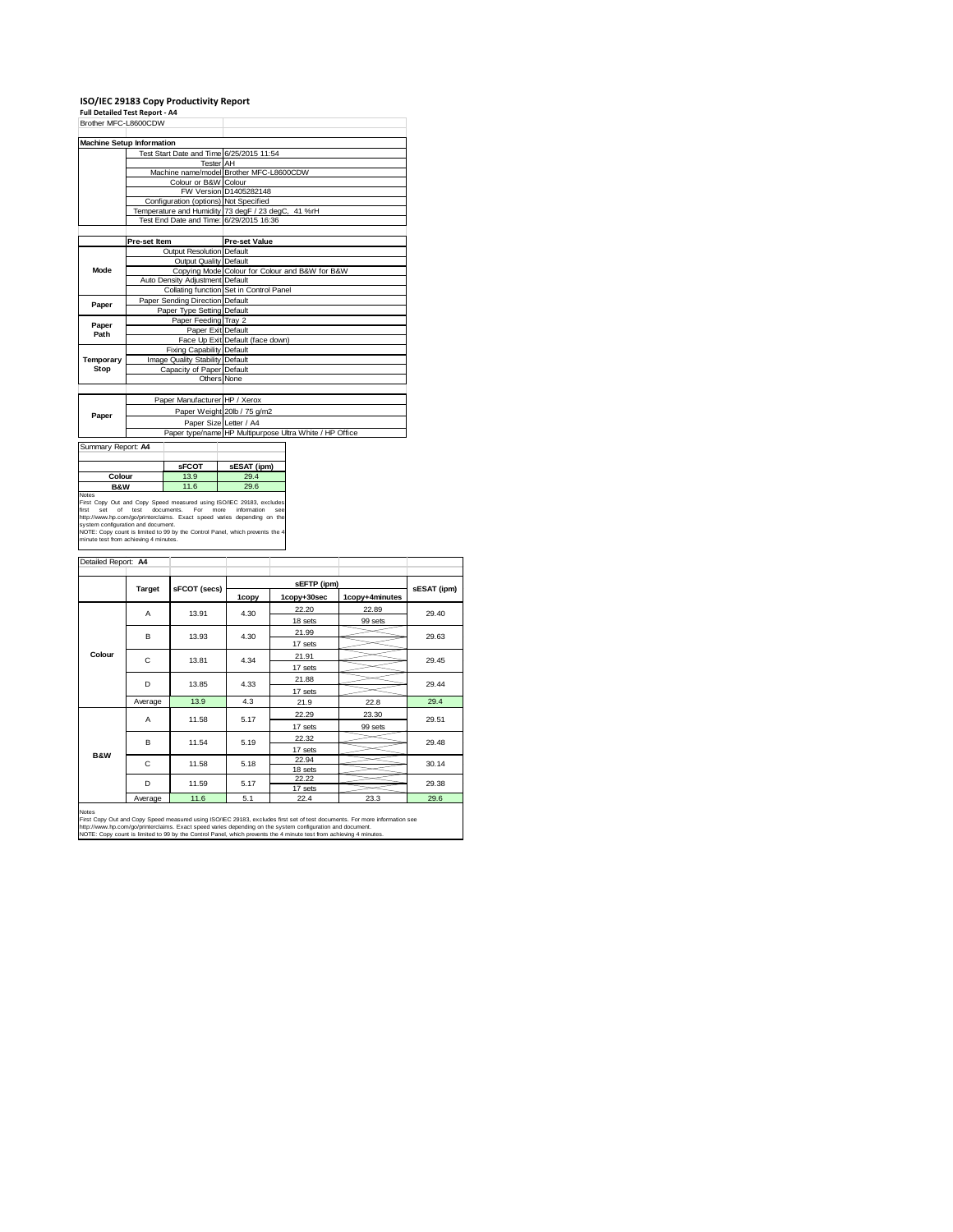### **ISO/IEC 29183 Copy Productivity Report Full Detailed Test Report ‐ A4**

|                      | . an betaned Test Report - A+            |                                                         |
|----------------------|------------------------------------------|---------------------------------------------------------|
| Brother MFC-L8600CDW |                                          |                                                         |
|                      |                                          |                                                         |
|                      | <b>Machine Setup Information</b>         |                                                         |
|                      | Test Start Date and Time 6/25/2015 11:54 |                                                         |
|                      | <b>Tester</b> AH                         |                                                         |
|                      |                                          | Machine name/model Brother MFC-L8600CDW                 |
|                      | Colour or B&W Colour                     |                                                         |
|                      |                                          | FW Version D1405282148                                  |
|                      | Configuration (options) Not Specified    |                                                         |
|                      |                                          | Temperature and Humidity 73 degF / 23 degC, 41 %rH      |
|                      | Test End Date and Time: 6/29/2015 16:36  |                                                         |
|                      |                                          |                                                         |
|                      | Pre-set Item                             | <b>Pre-set Value</b>                                    |
|                      | <b>Output Resolution Default</b>         |                                                         |
|                      | Output Quality Default                   |                                                         |
| <b>Mode</b>          |                                          | Copying Mode Colour for Colour and B&W for B&W          |
|                      | Auto Density Adiustment Default          |                                                         |
|                      |                                          | Collating function Set in Control Panel                 |
| Paper                | Paper Sending Direction Default          |                                                         |
|                      | Paper Type Setting Default               |                                                         |
| Paper                | Paper Feeding Tray 2                     |                                                         |
| Path                 | Paper Exit Default                       |                                                         |
|                      |                                          | Face Up Exit Default (face down)                        |
|                      | <b>Fixing Capability Default</b>         |                                                         |
| Temporary            | Image Quality Stability Default          |                                                         |
| Stop                 | Capacity of Paper Default                |                                                         |
|                      | Others None                              |                                                         |
|                      |                                          |                                                         |
|                      | Paper Manufacturer HP / Xerox            |                                                         |
| Paper                |                                          | Paper Weight 20lb / 75 g/m2                             |
|                      | Paper Size Letter / A4                   |                                                         |
|                      |                                          | Paper type/name HP Multipurpose Ultra White / HP Office |

Summary Report: **A4**

|                                                                                                     | <b>SFCOT</b>            | sESAT (ipm)                  |
|-----------------------------------------------------------------------------------------------------|-------------------------|------------------------------|
| Colour                                                                                              | 13.9                    | 29.4                         |
| <b>B&amp;W</b>                                                                                      | 11.6                    | 29.6                         |
| Notes                                                                                               |                         |                              |
| First Copy Out and Copy Speed measured using ISO/IEC 29183, exclude<br>Exat ant of tant demonstrate | <b>F</b> <sub>n</sub> . | information.<br>-----<br>- - |

First Copy Out and Copy Speed measured using ISO/IEC 29183, excludes<br>first set of test documents. For more information see<br>http://www.hp.com/go/printenclaims. Exact speed varies depending on the<br>NOTE: Copy count is limited

| sFCOT (secs)<br><b>Target</b> |                                            |                     |                                     |             |  |
|-------------------------------|--------------------------------------------|---------------------|-------------------------------------|-------------|--|
|                               |                                            | sEFTP (ipm)         |                                     |             |  |
|                               | 1copy                                      | 1copy+30sec         | 1copy+4minutes                      | sESAT (ipm) |  |
| 13.91                         | 4.30                                       | 22.20               | 22.89                               | 29.40       |  |
|                               |                                            | 18 sets             | 99 sets                             |             |  |
| 13.93                         | 4.30                                       | 21.99               |                                     | 29.63       |  |
|                               |                                            | 17 sets             |                                     |             |  |
| 13.81                         | 4.34                                       | 21.91               |                                     | 29.45       |  |
|                               |                                            | 17 sets             |                                     |             |  |
| 13.85                         | 4.33                                       | 21.88               |                                     | 29.44       |  |
|                               |                                            | 17 sets             |                                     |             |  |
| 13.9<br>Average               | 4.3                                        | 21.9                | 22.8                                | 29.4        |  |
|                               | 5.17                                       | 22.29               | 23.30                               | 29.51       |  |
|                               |                                            | 17 sets             | 99 sets                             |             |  |
|                               |                                            | 22.32               |                                     | 29.48       |  |
|                               |                                            | 17 sets             |                                     |             |  |
|                               |                                            | 22.94               |                                     | 30.14       |  |
|                               |                                            |                     |                                     |             |  |
| 11.59                         | 5.17                                       |                     |                                     | 29.38       |  |
|                               |                                            |                     |                                     | 29.6        |  |
|                               | 11.58<br>11.54<br>11.58<br>11.6<br>Average | 5.19<br>5.18<br>5.1 | 18 sets<br>22.22<br>17 sets<br>22.4 | 23.3        |  |

Notes<br>First Copy Out and Copy Speed measured using ISO/IEC 29183, excludes first set of test documents. For more information see<br>http://www.fp.com/go/printectaims. Exact speed varies depending on the system configuration a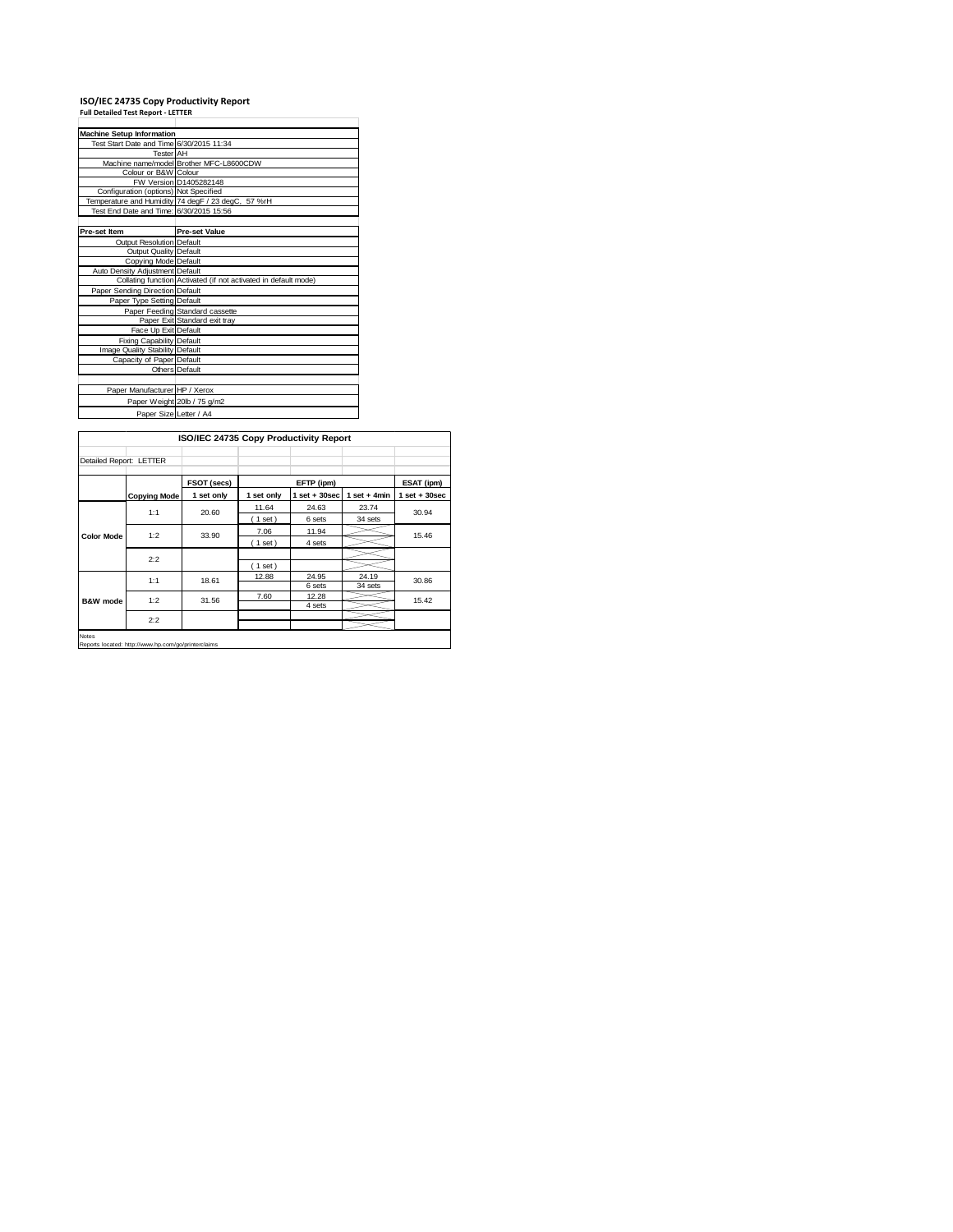### **ISO/IEC 24735 Copy Productivity Report Full Detailed Test Report ‐ LETTER**

| <b>Machine Setup Information</b>         |                                                                 |
|------------------------------------------|-----------------------------------------------------------------|
| Test Start Date and Time 6/30/2015 11:34 |                                                                 |
| <b>Tester</b> AH                         |                                                                 |
|                                          | Machine name/model Brother MFC-L8600CDW                         |
| Colour or B&W Colour                     |                                                                 |
|                                          | FW Version D1405282148                                          |
| Configuration (options) Not Specified    |                                                                 |
|                                          | Temperature and Humidity 74 degF / 23 degC, 57 %rH              |
| Test End Date and Time: 6/30/2015 15:56  |                                                                 |
|                                          |                                                                 |
| Pre-set Item                             | <b>Pre-set Value</b>                                            |
| Output Resolution Default                |                                                                 |
| Output Quality Default                   |                                                                 |
| Copying Mode Default                     |                                                                 |
| Auto Density Adjustment Default          |                                                                 |
|                                          | Collating function Activated (if not activated in default mode) |
| Paper Sending Direction Default          |                                                                 |
| Paper Type Setting Default               |                                                                 |
|                                          | Paper Feeding Standard cassette                                 |
|                                          | Paper Exit Standard exit tray                                   |
| Face Up Exit Default                     |                                                                 |
| Fixing Capability Default                |                                                                 |
| Image Quality Stability Default          |                                                                 |
| Capacity of Paper Default                |                                                                 |
|                                          | Others Default                                                  |
|                                          |                                                                 |
| Paper Manufacturer HP / Xerox            |                                                                 |
|                                          | Paper Weight 20lb / 75 g/m2                                     |
| Paper Size Letter / A4                   |                                                                 |
|                                          |                                                                 |

|                         | ISO/IEC 24735 Copy Productivity Report |             |            |                   |                |                                  |  |
|-------------------------|----------------------------------------|-------------|------------|-------------------|----------------|----------------------------------|--|
| Detailed Report: LETTER |                                        |             |            |                   |                |                                  |  |
|                         |                                        | FSOT (secs) |            | EFTP (ipm)        |                | ESAT (ipm)                       |  |
|                         | <b>Copying Mode</b>                    | 1 set only  | 1 set only | $1$ set $+30$ sec | 1 set + $4min$ | $1$ set + 30sec                  |  |
|                         | 1:1                                    | 20.60       | 11.64      | 24.63             | 23.74          | 30.94<br>15.46<br>30.86<br>15.42 |  |
|                         |                                        |             | (1 set)    | 6 sets            | 34 sets        |                                  |  |
| <b>Color Mode</b>       | 1:2                                    | 33.90       | 7.06       | 11.94             |                |                                  |  |
|                         |                                        |             | (1 set)    | 4 sets            |                |                                  |  |
|                         | 2:2                                    |             |            |                   |                |                                  |  |
|                         |                                        |             | (1 set)    |                   |                |                                  |  |
|                         | 1:1                                    | 18.61       | 12.88      | 24.95             | 24.19          |                                  |  |
| <b>B&amp;W</b> mode     |                                        |             |            | 6 sets            | 34 sets        |                                  |  |
|                         | 1:2                                    | 31.56       | 7.60       | 12.28             |                |                                  |  |
|                         | 2:2                                    |             |            | 4 sets            |                |                                  |  |
| Notes                   |                                        |             |            |                   |                |                                  |  |

**Re** is<br>orts located: http://www.hp